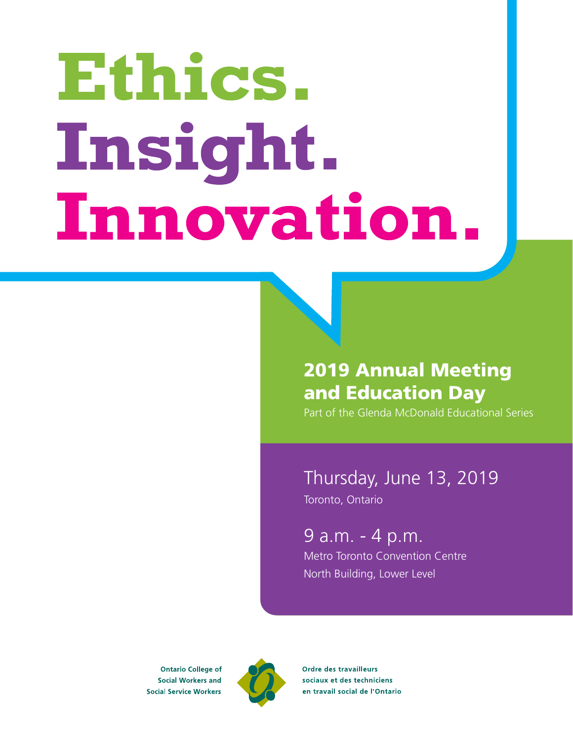# Ethics. Insight. Innovation.

# 2019 Annual Meeting and Education Day

Part of the Glenda McDonald Educational Series

# Thursday, June 13, 2019

Toronto, Ontario

## 9 a.m. - 4 p.m.

Metro Toronto Convention Centre North Building, Lower Level

**Ontario College of Social Workers and Social Service Workers** 



Ordre des travailleurs sociaux et des techniciens en travail social de l'Ontario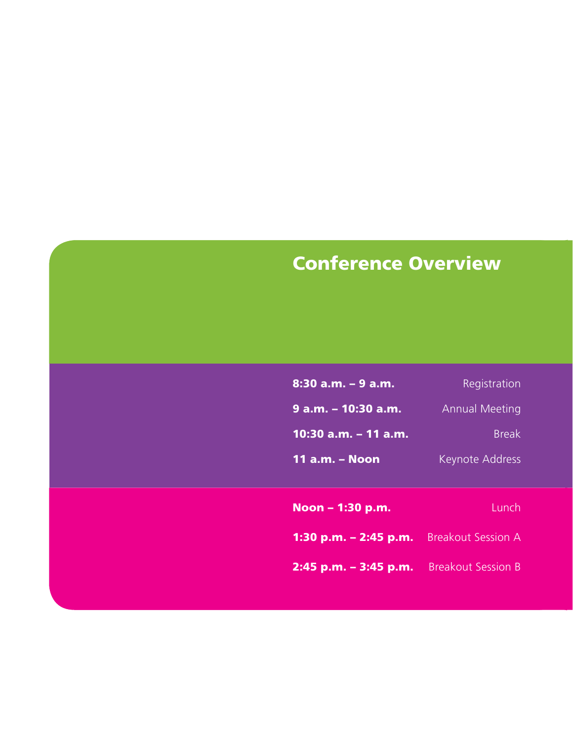# Conference Overview

| <u>8:30</u> a.m. – 9 a.m. | Registration           |
|---------------------------|------------------------|
| 9 a.m. – 10:30 a.m.       | <b>Annual Meeting</b>  |
| 10:30 a.m. - 11 a.m.      | <b>Break</b>           |
| <u> 11 a.m. – Noon</u>    | <b>Keynote Address</b> |

Noon – 1:30 p.m. Lunch

1:30 p.m. - 2:45 p.m. Breakout Session A

2:45 p.m. - 3:45 p.m. Breakout Session B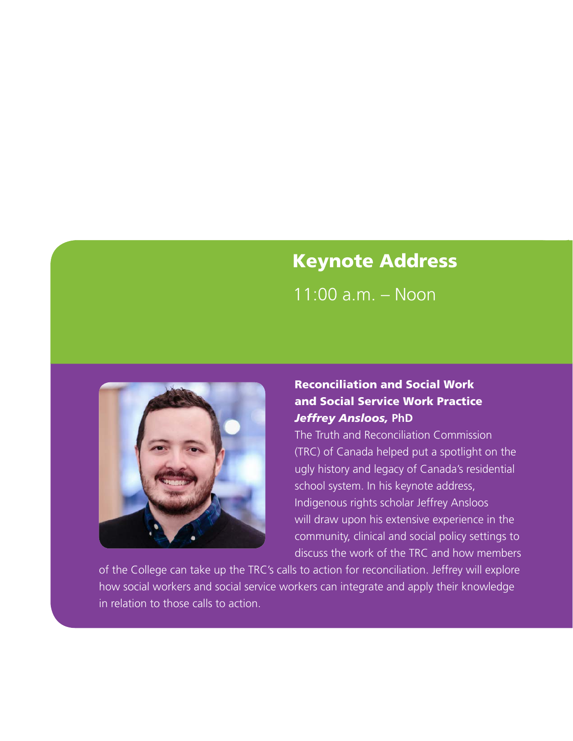# Keynote Address

11:00 a.m. – Noon



## Reconciliation and Social Work and Social Service Work Practice *Jeffrey Ansloos,* **PhD**

The Truth and Reconciliation Commission (TRC) of Canada helped put a spotlight on the ugly history and legacy of Canada's residential school system. In his keynote address, Indigenous rights scholar Jeffrey Ansloos will draw upon his extensive experience in the community, clinical and social policy settings to discuss the work of the TRC and how members

of the College can take up the TRC's calls to action for reconciliation. Jeffrey will explore how social workers and social service workers can integrate and apply their knowledge in relation to those calls to action.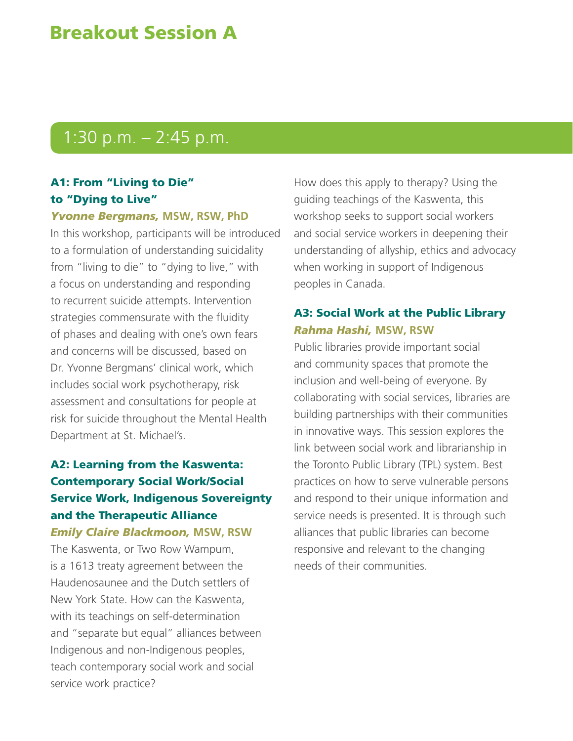# Breakout Session A

# 1:30 p.m. – 2:45 p.m.

## A1: From "Living to Die" to "Dying to Live"

*Yvonne Bergmans,* **MSW, RSW, PhD**

In this workshop, participants will be introduced to a formulation of understanding suicidality from "living to die" to "dying to live," with a focus on understanding and responding to recurrent suicide attempts. Intervention strategies commensurate with the fluidity of phases and dealing with one's own fears and concerns will be discussed, based on Dr. Yvonne Bergmans' clinical work, which includes social work psychotherapy, risk assessment and consultations for people at risk for suicide throughout the Mental Health Department at St. Michael's.

## A2: Learning from the Kaswenta: Contemporary Social Work/Social Service Work, Indigenous Sovereignty and the Therapeutic Alliance *Emily Claire Blackmoon,* **MSW, RSW**

The Kaswenta, or Two Row Wampum, is a 1613 treaty agreement between the Haudenosaunee and the Dutch settlers of New York State. How can the Kaswenta, with its teachings on self-determination and "separate but equal" alliances between Indigenous and non-Indigenous peoples, teach contemporary social work and social service work practice?

How does this apply to therapy? Using the guiding teachings of the Kaswenta, this workshop seeks to support social workers and social service workers in deepening their understanding of allyship, ethics and advocacy when working in support of Indigenous peoples in Canada.

## A3: Social Work at the Public Library *Rahma Hashi,* **MSW, RSW**

Public libraries provide important social and community spaces that promote the inclusion and well-being of everyone. By collaborating with social services, libraries are building partnerships with their communities in innovative ways. This session explores the link between social work and librarianship in the Toronto Public Library (TPL) system. Best practices on how to serve vulnerable persons and respond to their unique information and service needs is presented. It is through such alliances that public libraries can become responsive and relevant to the changing needs of their communities.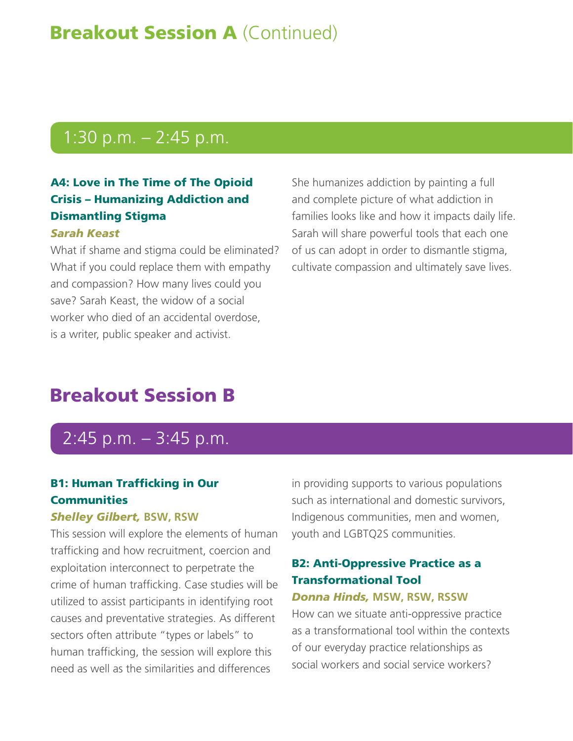# **Breakout Session A (Continued)**

# 1:30 p.m. – 2:45 p.m.

## A4: Love in The Time of The Opioid Crisis – Humanizing Addiction and Dismantling Stigma

## *Sarah Keast*

What if shame and stigma could be eliminated? What if you could replace them with empathy and compassion? How many lives could you save? Sarah Keast, the widow of a social worker who died of an accidental overdose, is a writer, public speaker and activist.

She humanizes addiction by painting a full and complete picture of what addiction in families looks like and how it impacts daily life. Sarah will share powerful tools that each one of us can adopt in order to dismantle stigma, cultivate compassion and ultimately save lives.

# Breakout Session B

# 2:45 p.m. – 3:45 p.m.

## B1: Human Trafficking in Our **Communities**

#### *Shelley Gilbert,* **BSW, RSW**

This session will explore the elements of human trafficking and how recruitment, coercion and exploitation interconnect to perpetrate the crime of human trafficking. Case studies will be utilized to assist participants in identifying root causes and preventative strategies. As different sectors often attribute "types or labels" to human trafficking, the session will explore this need as well as the similarities and differences

in providing supports to various populations such as international and domestic survivors, Indigenous communities, men and women, youth and LGBTQ2S communities.

## B2: Anti-Oppressive Practice as a Transformational Tool

## *Donna Hinds,* **MSW, RSW, RSSW**

How can we situate anti-oppressive practice as a transformational tool within the contexts of our everyday practice relationships as social workers and social service workers?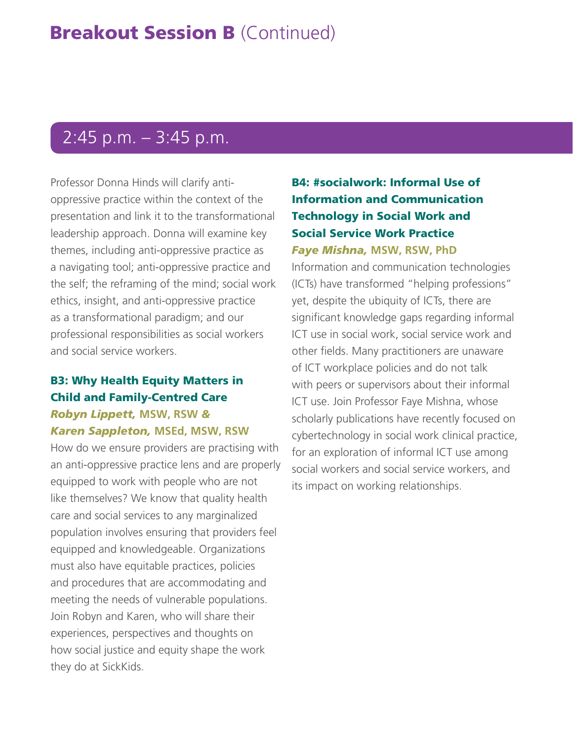# 2:45 p.m. – 3:45 p.m.

Professor Donna Hinds will clarify antioppressive practice within the context of the presentation and link it to the transformational leadership approach. Donna will examine key themes, including anti-oppressive practice as a navigating tool; anti-oppressive practice and the self; the reframing of the mind; social work ethics, insight, and anti-oppressive practice as a transformational paradigm; and our professional responsibilities as social workers and social service workers.

## B3: Why Health Equity Matters in Child and Family-Centred Care *Robyn Lippett,* **MSW, RSW** *&*

## *Karen Sappleton,* **MSEd, MSW, RSW**

How do we ensure providers are practising with an anti-oppressive practice lens and are properly equipped to work with people who are not like themselves? We know that quality health care and social services to any marginalized population involves ensuring that providers feel equipped and knowledgeable. Organizations must also have equitable practices, policies and procedures that are accommodating and meeting the needs of vulnerable populations. Join Robyn and Karen, who will share their experiences, perspectives and thoughts on how social justice and equity shape the work they do at SickKids.

## B4: #socialwork: Informal Use of Information and Communication Technology in Social Work and Social Service Work Practice *Faye Mishna,* **MSW, RSW, PhD**

Information and communication technologies (ICTs) have transformed "helping professions" yet, despite the ubiquity of ICTs, there are significant knowledge gaps regarding informal ICT use in social work, social service work and other fields. Many practitioners are unaware of ICT workplace policies and do not talk with peers or supervisors about their informal ICT use. Join Professor Faye Mishna, whose scholarly publications have recently focused on cybertechnology in social work clinical practice, for an exploration of informal ICT use among social workers and social service workers, and its impact on working relationships.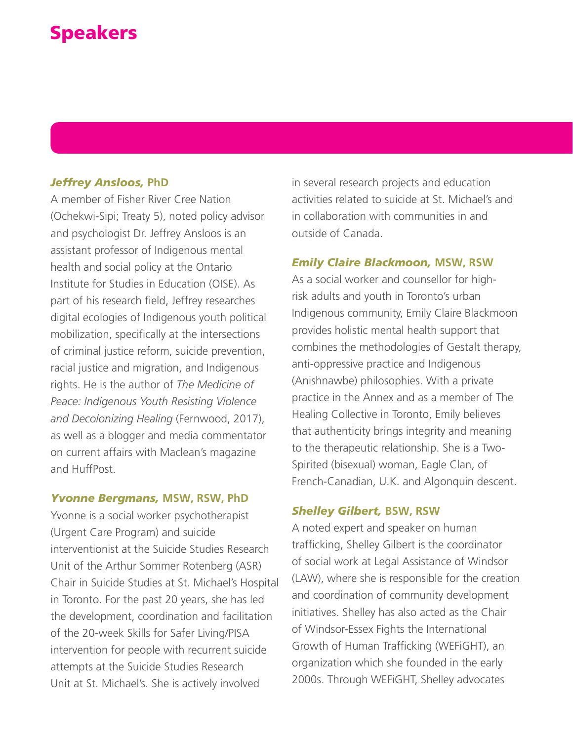# Speakers

#### *Jeffrey Ansloos,* **PhD**

A member of Fisher River Cree Nation (Ochekwi-Sipi; Treaty 5), noted policy advisor and psychologist Dr. Jeffrey Ansloos is an assistant professor of Indigenous mental health and social policy at the Ontario Institute for Studies in Education (OISE). As part of his research field, Jeffrey researches digital ecologies of Indigenous youth political mobilization, specifically at the intersections of criminal justice reform, suicide prevention, racial justice and migration, and Indigenous rights. He is the author of *The Medicine of Peace: Indigenous Youth Resisting Violence and Decolonizing Healing* (Fernwood, 2017), as well as a blogger and media commentator on current affairs with Maclean's magazine and HuffPost.

#### *Yvonne Bergmans,* **MSW, RSW, PhD**

Yvonne is a social worker psychotherapist (Urgent Care Program) and suicide interventionist at the Suicide Studies Research Unit of the Arthur Sommer Rotenberg (ASR) Chair in Suicide Studies at St. Michael's Hospital in Toronto. For the past 20 years, she has led the development, coordination and facilitation of the 20-week Skills for Safer Living/PISA intervention for people with recurrent suicide attempts at the Suicide Studies Research Unit at St. Michael's. She is actively involved

in several research projects and education activities related to suicide at St. Michael's and in collaboration with communities in and outside of Canada.

#### *Emily Claire Blackmoon,* **MSW, RSW**

As a social worker and counsellor for highrisk adults and youth in Toronto's urban Indigenous community, Emily Claire Blackmoon provides holistic mental health support that combines the methodologies of Gestalt therapy, anti-oppressive practice and Indigenous (Anishnawbe) philosophies. With a private practice in the Annex and as a member of The Healing Collective in Toronto, Emily believes that authenticity brings integrity and meaning to the therapeutic relationship. She is a Two-Spirited (bisexual) woman, Eagle Clan, of French-Canadian, U.K. and Algonquin descent.

#### *Shelley Gilbert,* **BSW, RSW**

A noted expert and speaker on human trafficking, Shelley Gilbert is the coordinator of social work at Legal Assistance of Windsor (LAW), where she is responsible for the creation and coordination of community development initiatives. Shelley has also acted as the Chair of Windsor-Essex Fights the International Growth of Human Trafficking (WEFiGHT), an organization which she founded in the early 2000s. Through WEFiGHT, Shelley advocates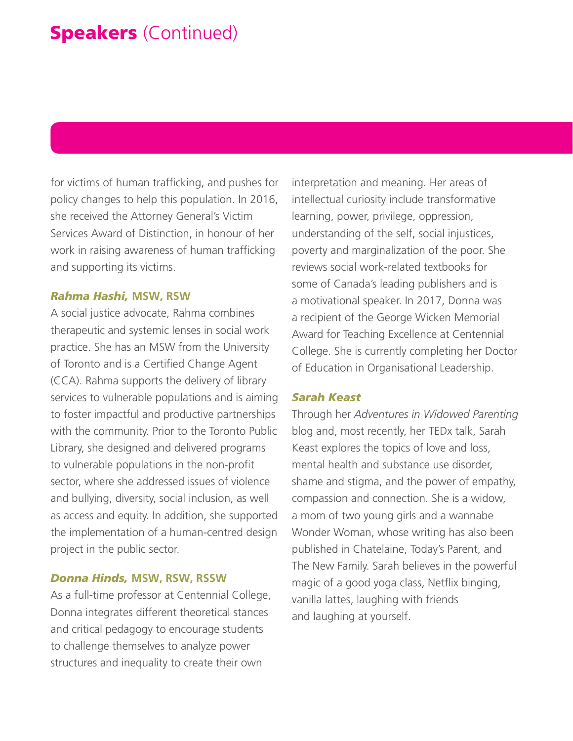# **Speakers** (Continued)

for victims of human trafficking, and pushes for policy changes to help this population. In 2016, she received the Attorney General's Victim Services Award of Distinction, in honour of her work in raising awareness of human trafficking and supporting its victims.

#### *Rahma Hashi,* **MSW, RSW**

A social justice advocate, Rahma combines therapeutic and systemic lenses in social work practice. She has an MSW from the University of Toronto and is a Certified Change Agent (CCA). Rahma supports the delivery of library services to vulnerable populations and is aiming to foster impactful and productive partnerships with the community. Prior to the Toronto Public Library, she designed and delivered programs to vulnerable populations in the non-profit sector, where she addressed issues of violence and bullying, diversity, social inclusion, as well as access and equity. In addition, she supported the implementation of a human-centred design project in the public sector.

#### *Donna Hinds,* **MSW, RSW, RSSW**

As a full-time professor at Centennial College, Donna integrates different theoretical stances and critical pedagogy to encourage students to challenge themselves to analyze power structures and inequality to create their own

interpretation and meaning. Her areas of intellectual curiosity include transformative learning, power, privilege, oppression, understanding of the self, social injustices, poverty and marginalization of the poor. She reviews social work-related textbooks for some of Canada's leading publishers and is a motivational speaker. In 2017, Donna was a recipient of the George Wicken Memorial Award for Teaching Excellence at Centennial College. She is currently completing her Doctor of Education in Organisational Leadership.

#### *Sarah Keast*

Through her *Adventures in Widowed Parenting* blog and, most recently, her TEDx talk, Sarah Keast explores the topics of love and loss, mental health and substance use disorder, shame and stigma, and the power of empathy, compassion and connection. She is a widow, a mom of two young girls and a wannabe Wonder Woman, whose writing has also been published in Chatelaine, Today's Parent, and The New Family. Sarah believes in the powerful magic of a good yoga class, Netflix binging, vanilla lattes, laughing with friends and laughing at yourself.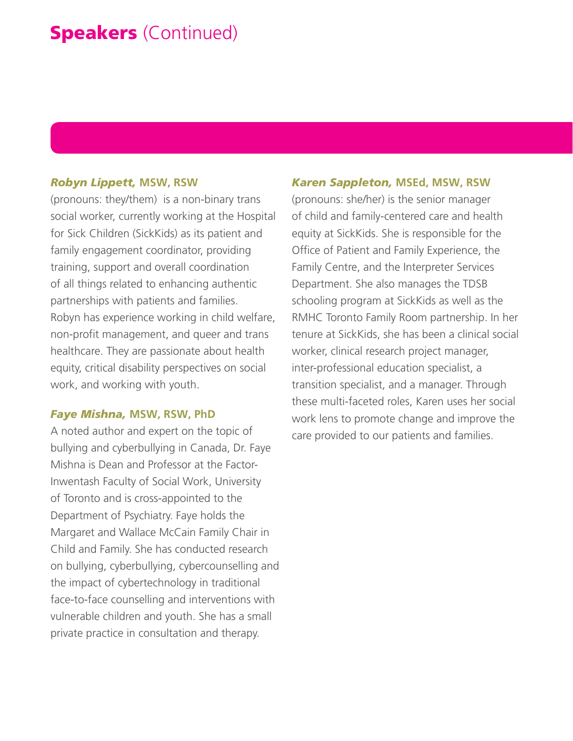# **Speakers** (Continued)

#### *Robyn Lippett,* **MSW, RSW**

(pronouns: they/them) is a non-binary trans social worker, currently working at the Hospital for Sick Children (SickKids) as its patient and family engagement coordinator, providing training, support and overall coordination of all things related to enhancing authentic partnerships with patients and families. Robyn has experience working in child welfare, non-profit management, and queer and trans healthcare. They are passionate about health equity, critical disability perspectives on social work, and working with youth.

#### *Faye Mishna,* **MSW, RSW, PhD**

A noted author and expert on the topic of bullying and cyberbullying in Canada, Dr. Faye Mishna is Dean and Professor at the Factor-Inwentash Faculty of Social Work, University of Toronto and is cross-appointed to the Department of Psychiatry. Faye holds the Margaret and Wallace McCain Family Chair in Child and Family. She has conducted research on bullying, cyberbullying, cybercounselling and the impact of cybertechnology in traditional face-to-face counselling and interventions with vulnerable children and youth. She has a small private practice in consultation and therapy.

#### *Karen Sappleton,* **MSEd, MSW, RSW**

(pronouns: she/her) is the senior manager of child and family-centered care and health equity at SickKids. She is responsible for the Office of Patient and Family Experience, the Family Centre, and the Interpreter Services Department. She also manages the TDSB schooling program at SickKids as well as the RMHC Toronto Family Room partnership. In her tenure at SickKids, she has been a clinical social worker, clinical research project manager, inter-professional education specialist, a transition specialist, and a manager. Through these multi-faceted roles, Karen uses her social work lens to promote change and improve the care provided to our patients and families.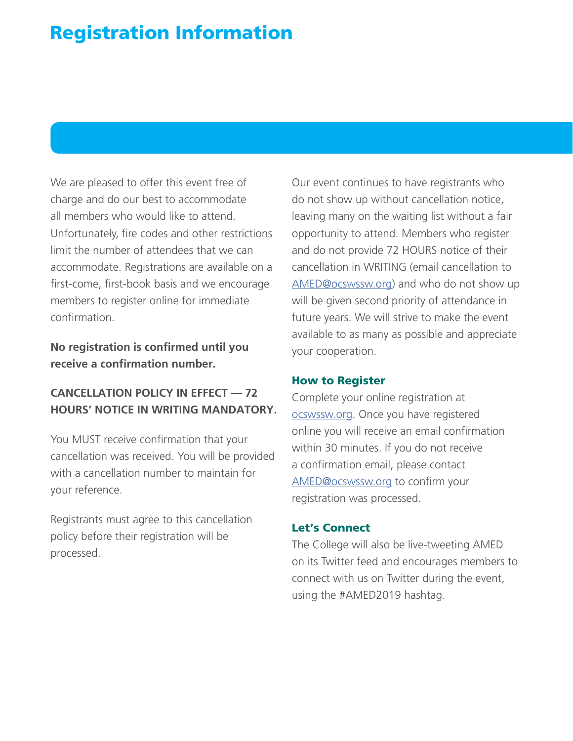# Registration Information

We are pleased to offer this event free of charge and do our best to accommodate all members who would like to attend. Unfortunately, fire codes and other restrictions limit the number of attendees that we can accommodate. Registrations are available on a first-come, first-book basis and we encourage members to register online for immediate confirmation.

**No registration is confirmed until you receive a confirmation number.**

## **CANCELLATION POLICY IN EFFECT — 72 HOURS' NOTICE IN WRITING MANDATORY.**

You MUST receive confirmation that your cancellation was received. You will be provided with a cancellation number to maintain for your reference.

Registrants must agree to this cancellation policy before their registration will be processed.

Our event continues to have registrants who do not show up without cancellation notice, leaving many on the waiting list without a fair opportunity to attend. Members who register and do not provide 72 HOURS notice of their cancellation in WRITING (email cancellation to [AMED@ocswssw.org\)](http://AMED@ocswssw.org) and who do not show up will be given second priority of attendance in future years. We will strive to make the event available to as many as possible and appreciate your cooperation.

### How to Register

Complete your online registration at [ocswssw.org.](http://ocswssw.org) Once you have registered online you will receive an email confirmation within 30 minutes. If you do not receive a confirmation email, please contact [AMED@ocswssw.org](http://AMED@ocswssw.org) to confirm your registration was processed.

## Let's Connect

The College will also be live-tweeting AMED on its Twitter feed and encourages members to connect with us on Twitter during the event, using the #AMED2019 hashtag.